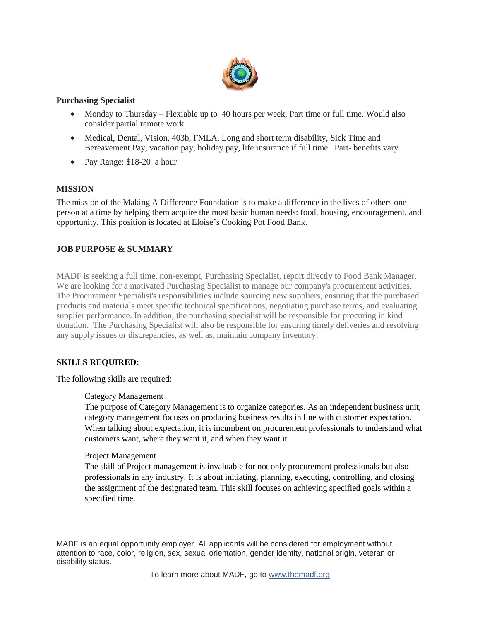

# **Purchasing Specialist**

- Monday to Thursday Flexiable up to 40 hours per week, Part time or full time. Would also consider partial remote work
- Medical, Dental, Vision, 403b, FMLA, Long and short term disability, Sick Time and Bereavement Pay, vacation pay, holiday pay, life insurance if full time. Part- benefits vary
- Pay Range: \$18-20 a hour

# **MISSION**

The mission of the Making A Difference Foundation is to make a difference in the lives of others one person at a time by helping them acquire the most basic human needs: food, housing, encouragement, and opportunity. This position is located at Eloise's Cooking Pot Food Bank.

# **JOB PURPOSE & SUMMARY**

MADF is seeking a full time, non-exempt, Purchasing Specialist, report directly to Food Bank Manager. We are looking for a motivated Purchasing Specialist to manage our company's procurement activities. The Procurement Specialist's responsibilities include sourcing new suppliers, ensuring that the purchased products and materials meet specific technical specifications, negotiating purchase terms, and evaluating supplier performance. In addition, the purchasing specialist will be responsible for procuring in kind donation. The Purchasing Specialist will also be responsible for ensuring timely deliveries and resolving any supply issues or discrepancies, as well as, maintain company inventory.

# **SKILLS REQUIRED:**

The following skills are required:

#### Category Management

The purpose of Category Management is to organize categories. As an independent business unit, category management focuses on producing business results in line with customer expectation. When talking about expectation, it is incumbent on procurement professionals to understand what customers want, where they want it, and when they want it.

#### Project Management

The skill of Project management is invaluable for not only procurement professionals but also professionals in any industry. It is about initiating, planning, executing, controlling, and closing the assignment of the designated team. This skill focuses on achieving specified goals within a specified time.

MADF is an equal opportunity employer. All applicants will be considered for employment without attention to race, color, religion, sex, sexual orientation, gender identity, national origin, veteran or disability status.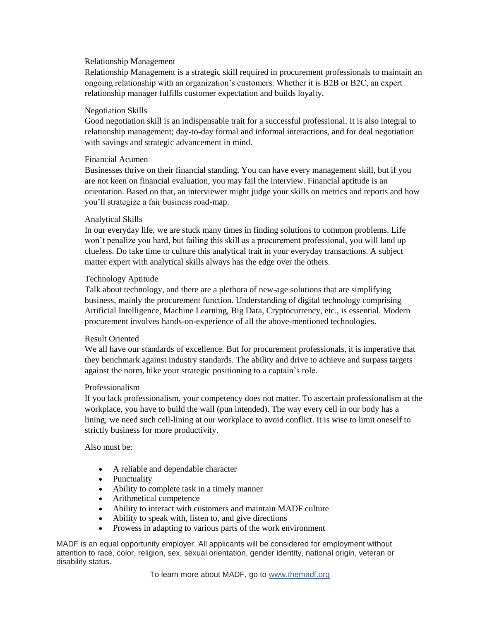### Relationship Management

Relationship Management is a strategic skill required in procurement professionals to maintain an ongoing relationship with an organization's customers. Whether it is B2B or B2C, an expert relationship manager fulfills customer expectation and builds loyalty.

### Negotiation Skills

Good negotiation skill is an indispensable trait for a successful professional. It is also integral to relationship management; day-to-day formal and informal interactions, and for deal negotiation with savings and strategic advancement in mind.

### Financial Acumen

Businesses thrive on their financial standing. You can have every management skill, but if you are not keen on financial evaluation, you may fail the interview. Financial aptitude is an orientation. Based on that, an interviewer might judge your skills on metrics and reports and how you'll strategize a fair business road-map.

### Analytical Skills

In our everyday life, we are stuck many times in finding solutions to common problems. Life won't penalize you hard, but failing this skill as a procurement professional, you will land up clueless. Do take time to culture this analytical trait in your everyday transactions. A subject matter expert with analytical skills always has the edge over the others.

### Technology Aptitude

Talk about technology, and there are a plethora of new-age solutions that are simplifying business, mainly the procurement function. Understanding of digital technology comprising Artificial Intelligence, Machine Learning, Big Data, Cryptocurrency, etc., is essential. Modern procurement involves hands-on-experience of all the above-mentioned technologies.

#### Result Oriented

We all have our standards of excellence. But for procurement professionals, it is imperative that they benchmark against industry standards. The ability and drive to achieve and surpass targets against the norm, hike your strategic positioning to a captain's role.

#### Professionalism

If you lack professionalism, your competency does not matter. To ascertain professionalism at the workplace, you have to build the wall (pun intended). The way every cell in our body has a lining; we need such cell-lining at our workplace to avoid conflict. It is wise to limit oneself to strictly business for more productivity.

# Also must be:

- A reliable and dependable character
- Punctuality
- Ability to complete task in a timely manner
- Arithmetical competence
- Ability to interact with customers and maintain MADF culture
- Ability to speak with, listen to, and give directions
- Prowess in adapting to various parts of the work environment

MADF is an equal opportunity employer. All applicants will be considered for employment without attention to race, color, religion, sex, sexual orientation, gender identity, national origin, veteran or disability status.